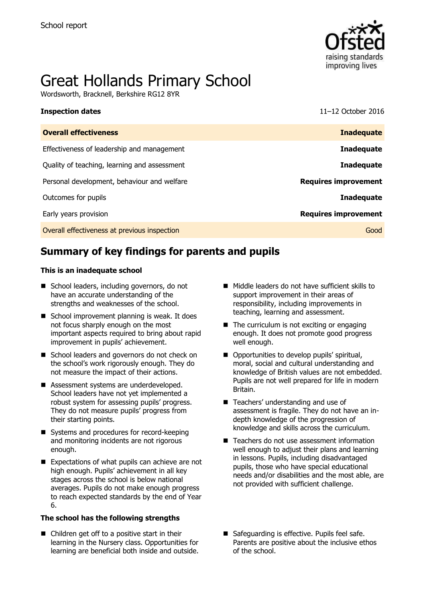

# Great Hollands Primary School

Wordsworth, Bracknell, Berkshire RG12 8YR

**Inspection dates** 11–12 October 2016

| <b>Inadequate</b>           |
|-----------------------------|
| <b>Inadequate</b>           |
| <b>Inadequate</b>           |
| <b>Requires improvement</b> |
| Inadequate                  |
| <b>Requires improvement</b> |
| Good                        |
|                             |

# **Summary of key findings for parents and pupils**

#### **This is an inadequate school**

- School leaders, including governors, do not have an accurate understanding of the strengths and weaknesses of the school.
- School improvement planning is weak. It does not focus sharply enough on the most important aspects required to bring about rapid improvement in pupils' achievement.
- School leaders and governors do not check on the school's work rigorously enough. They do not measure the impact of their actions.
- Assessment systems are underdeveloped. School leaders have not yet implemented a robust system for assessing pupils' progress. They do not measure pupils' progress from their starting points.
- Systems and procedures for record-keeping and monitoring incidents are not rigorous enough.
- Expectations of what pupils can achieve are not high enough. Pupils' achievement in all key stages across the school is below national averages. Pupils do not make enough progress to reach expected standards by the end of Year 6.

#### **The school has the following strengths**

■ Children get off to a positive start in their learning in the Nursery class. Opportunities for learning are beneficial both inside and outside.

- Middle leaders do not have sufficient skills to support improvement in their areas of responsibility, including improvements in teaching, learning and assessment.
- $\blacksquare$  The curriculum is not exciting or engaging enough. It does not promote good progress well enough.
- $\blacksquare$  Opportunities to develop pupils' spiritual, moral, social and cultural understanding and knowledge of British values are not embedded. Pupils are not well prepared for life in modern Britain.
- Teachers' understanding and use of assessment is fragile. They do not have an indepth knowledge of the progression of knowledge and skills across the curriculum.
- Teachers do not use assessment information well enough to adjust their plans and learning in lessons. Pupils, including disadvantaged pupils, those who have special educational needs and/or disabilities and the most able, are not provided with sufficient challenge.
- Safeguarding is effective. Pupils feel safe. Parents are positive about the inclusive ethos of the school.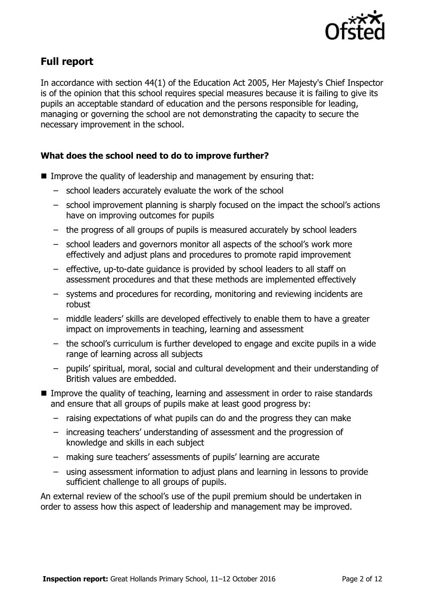

# **Full report**

In accordance with section 44(1) of the Education Act 2005, Her Majesty's Chief Inspector is of the opinion that this school requires special measures because it is failing to give its pupils an acceptable standard of education and the persons responsible for leading, managing or governing the school are not demonstrating the capacity to secure the necessary improvement in the school.

### **What does the school need to do to improve further?**

- Improve the quality of leadership and management by ensuring that:
	- school leaders accurately evaluate the work of the school
	- school improvement planning is sharply focused on the impact the school's actions have on improving outcomes for pupils
	- the progress of all groups of pupils is measured accurately by school leaders
	- school leaders and governors monitor all aspects of the school's work more effectively and adjust plans and procedures to promote rapid improvement
	- effective, up-to-date guidance is provided by school leaders to all staff on assessment procedures and that these methods are implemented effectively
	- systems and procedures for recording, monitoring and reviewing incidents are robust
	- middle leaders' skills are developed effectively to enable them to have a greater impact on improvements in teaching, learning and assessment
	- the school's curriculum is further developed to engage and excite pupils in a wide range of learning across all subjects
	- pupils' spiritual, moral, social and cultural development and their understanding of British values are embedded.
- **IMPROVE the quality of teaching, learning and assessment in order to raise standards** and ensure that all groups of pupils make at least good progress by:
	- raising expectations of what pupils can do and the progress they can make
	- increasing teachers' understanding of assessment and the progression of knowledge and skills in each subject
	- making sure teachers' assessments of pupils' learning are accurate
	- using assessment information to adjust plans and learning in lessons to provide sufficient challenge to all groups of pupils.

An external review of the school's use of the pupil premium should be undertaken in order to assess how this aspect of leadership and management may be improved.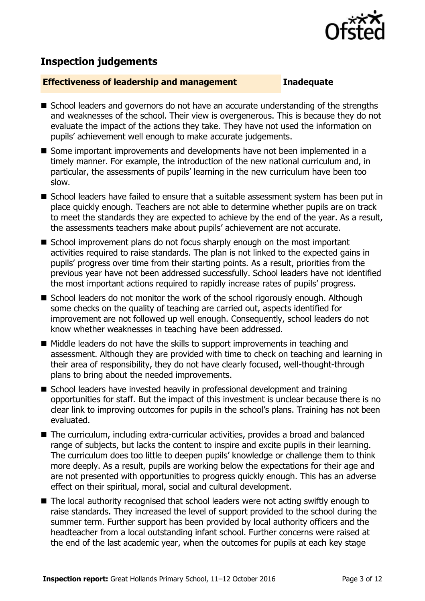

# **Inspection judgements**

### **Effectiveness of leadership and management Inadequate**

- School leaders and governors do not have an accurate understanding of the strengths and weaknesses of the school. Their view is overgenerous. This is because they do not evaluate the impact of the actions they take. They have not used the information on pupils' achievement well enough to make accurate judgements.
- Some important improvements and developments have not been implemented in a timely manner. For example, the introduction of the new national curriculum and, in particular, the assessments of pupils' learning in the new curriculum have been too slow.
- School leaders have failed to ensure that a suitable assessment system has been put in place quickly enough. Teachers are not able to determine whether pupils are on track to meet the standards they are expected to achieve by the end of the year. As a result, the assessments teachers make about pupils' achievement are not accurate.
- School improvement plans do not focus sharply enough on the most important activities required to raise standards. The plan is not linked to the expected gains in pupils' progress over time from their starting points. As a result, priorities from the previous year have not been addressed successfully. School leaders have not identified the most important actions required to rapidly increase rates of pupils' progress.
- School leaders do not monitor the work of the school rigorously enough. Although some checks on the quality of teaching are carried out, aspects identified for improvement are not followed up well enough. Consequently, school leaders do not know whether weaknesses in teaching have been addressed.
- $\blacksquare$  Middle leaders do not have the skills to support improvements in teaching and assessment. Although they are provided with time to check on teaching and learning in their area of responsibility, they do not have clearly focused, well-thought-through plans to bring about the needed improvements.
- School leaders have invested heavily in professional development and training opportunities for staff. But the impact of this investment is unclear because there is no clear link to improving outcomes for pupils in the school's plans. Training has not been evaluated.
- The curriculum, including extra-curricular activities, provides a broad and balanced range of subjects, but lacks the content to inspire and excite pupils in their learning. The curriculum does too little to deepen pupils' knowledge or challenge them to think more deeply. As a result, pupils are working below the expectations for their age and are not presented with opportunities to progress quickly enough. This has an adverse effect on their spiritual, moral, social and cultural development.
- The local authority recognised that school leaders were not acting swiftly enough to raise standards. They increased the level of support provided to the school during the summer term. Further support has been provided by local authority officers and the headteacher from a local outstanding infant school. Further concerns were raised at the end of the last academic year, when the outcomes for pupils at each key stage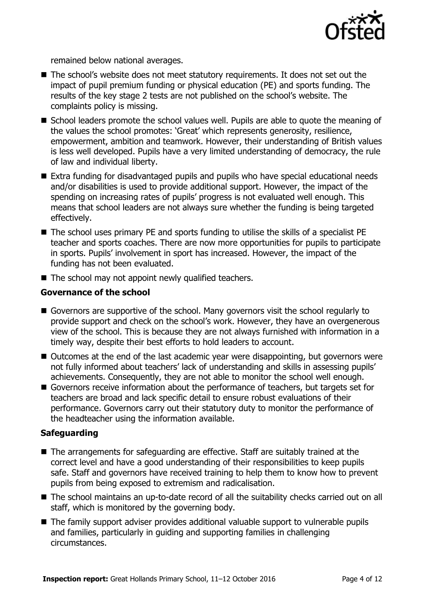

remained below national averages.

- The school's website does not meet statutory requirements. It does not set out the impact of pupil premium funding or physical education (PE) and sports funding. The results of the key stage 2 tests are not published on the school's website. The complaints policy is missing.
- School leaders promote the school values well. Pupils are able to quote the meaning of the values the school promotes: 'Great' which represents generosity, resilience, empowerment, ambition and teamwork. However, their understanding of British values is less well developed. Pupils have a very limited understanding of democracy, the rule of law and individual liberty.
- Extra funding for disadvantaged pupils and pupils who have special educational needs and/or disabilities is used to provide additional support. However, the impact of the spending on increasing rates of pupils' progress is not evaluated well enough. This means that school leaders are not always sure whether the funding is being targeted effectively.
- The school uses primary PE and sports funding to utilise the skills of a specialist PE teacher and sports coaches. There are now more opportunities for pupils to participate in sports. Pupils' involvement in sport has increased. However, the impact of the funding has not been evaluated.
- $\blacksquare$  The school may not appoint newly qualified teachers.

### **Governance of the school**

- Governors are supportive of the school. Many governors visit the school regularly to provide support and check on the school's work. However, they have an overgenerous view of the school. This is because they are not always furnished with information in a timely way, despite their best efforts to hold leaders to account.
- Outcomes at the end of the last academic year were disappointing, but governors were not fully informed about teachers' lack of understanding and skills in assessing pupils' achievements. Consequently, they are not able to monitor the school well enough.
- Governors receive information about the performance of teachers, but targets set for teachers are broad and lack specific detail to ensure robust evaluations of their performance. Governors carry out their statutory duty to monitor the performance of the headteacher using the information available.

### **Safeguarding**

- The arrangements for safeguarding are effective. Staff are suitably trained at the correct level and have a good understanding of their responsibilities to keep pupils safe. Staff and governors have received training to help them to know how to prevent pupils from being exposed to extremism and radicalisation.
- The school maintains an up-to-date record of all the suitability checks carried out on all staff, which is monitored by the governing body.
- The family support adviser provides additional valuable support to vulnerable pupils and families, particularly in guiding and supporting families in challenging circumstances.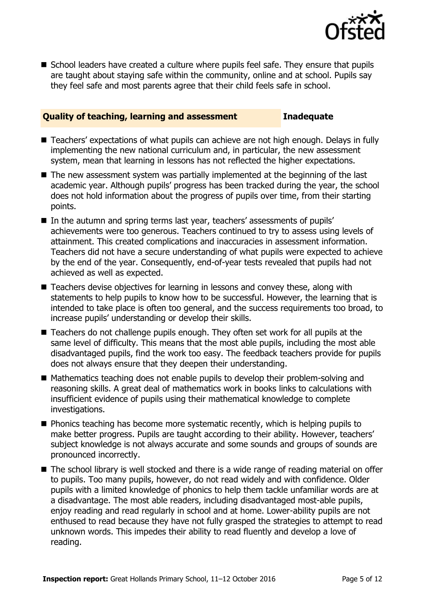

■ School leaders have created a culture where pupils feel safe. They ensure that pupils are taught about staying safe within the community, online and at school. Pupils say they feel safe and most parents agree that their child feels safe in school.

#### **Quality of teaching, learning and assessment Inadequate**

- Teachers' expectations of what pupils can achieve are not high enough. Delays in fully implementing the new national curriculum and, in particular, the new assessment system, mean that learning in lessons has not reflected the higher expectations.
- The new assessment system was partially implemented at the beginning of the last academic year. Although pupils' progress has been tracked during the year, the school does not hold information about the progress of pupils over time, from their starting points.
- In the autumn and spring terms last year, teachers' assessments of pupils' achievements were too generous. Teachers continued to try to assess using levels of attainment. This created complications and inaccuracies in assessment information. Teachers did not have a secure understanding of what pupils were expected to achieve by the end of the year. Consequently, end-of-year tests revealed that pupils had not achieved as well as expected.
- Teachers devise objectives for learning in lessons and convey these, along with statements to help pupils to know how to be successful. However, the learning that is intended to take place is often too general, and the success requirements too broad, to increase pupils' understanding or develop their skills.
- Teachers do not challenge pupils enough. They often set work for all pupils at the same level of difficulty. This means that the most able pupils, including the most able disadvantaged pupils, find the work too easy. The feedback teachers provide for pupils does not always ensure that they deepen their understanding.
- Mathematics teaching does not enable pupils to develop their problem-solving and reasoning skills. A great deal of mathematics work in books links to calculations with insufficient evidence of pupils using their mathematical knowledge to complete investigations.
- $\blacksquare$  Phonics teaching has become more systematic recently, which is helping pupils to make better progress. Pupils are taught according to their ability. However, teachers' subject knowledge is not always accurate and some sounds and groups of sounds are pronounced incorrectly.
- The school library is well stocked and there is a wide range of reading material on offer to pupils. Too many pupils, however, do not read widely and with confidence. Older pupils with a limited knowledge of phonics to help them tackle unfamiliar words are at a disadvantage. The most able readers, including disadvantaged most-able pupils, enjoy reading and read regularly in school and at home. Lower-ability pupils are not enthused to read because they have not fully grasped the strategies to attempt to read unknown words. This impedes their ability to read fluently and develop a love of reading.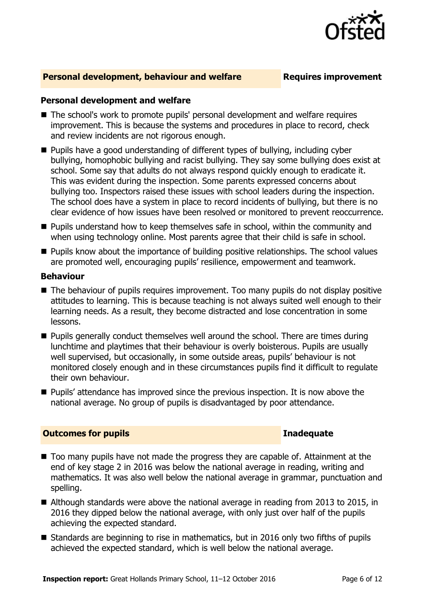

#### **Personal development, behaviour and welfare <b>Requires improvement**

### **Personal development and welfare**

- The school's work to promote pupils' personal development and welfare requires improvement. This is because the systems and procedures in place to record, check and review incidents are not rigorous enough.
- **Pupils have a good understanding of different types of bullying, including cyber** bullying, homophobic bullying and racist bullying. They say some bullying does exist at school. Some say that adults do not always respond quickly enough to eradicate it. This was evident during the inspection. Some parents expressed concerns about bullying too. Inspectors raised these issues with school leaders during the inspection. The school does have a system in place to record incidents of bullying, but there is no clear evidence of how issues have been resolved or monitored to prevent reoccurrence.
- **Pupils understand how to keep themselves safe in school, within the community and** when using technology online. Most parents agree that their child is safe in school.
- **Pupils know about the importance of building positive relationships. The school values** are promoted well, encouraging pupils' resilience, empowerment and teamwork.

#### **Behaviour**

- The behaviour of pupils requires improvement. Too many pupils do not display positive attitudes to learning. This is because teaching is not always suited well enough to their learning needs. As a result, they become distracted and lose concentration in some lessons.
- **Pupils generally conduct themselves well around the school. There are times during** lunchtime and playtimes that their behaviour is overly boisterous. Pupils are usually well supervised, but occasionally, in some outside areas, pupils' behaviour is not monitored closely enough and in these circumstances pupils find it difficult to regulate their own behaviour.
- **Pupils'** attendance has improved since the previous inspection. It is now above the national average. No group of pupils is disadvantaged by poor attendance.

#### **Outcomes for pupils Inadequate**

- Too many pupils have not made the progress they are capable of. Attainment at the end of key stage 2 in 2016 was below the national average in reading, writing and mathematics. It was also well below the national average in grammar, punctuation and spelling.
- Although standards were above the national average in reading from 2013 to 2015, in 2016 they dipped below the national average, with only just over half of the pupils achieving the expected standard.
- $\blacksquare$  Standards are beginning to rise in mathematics, but in 2016 only two fifths of pupils achieved the expected standard, which is well below the national average.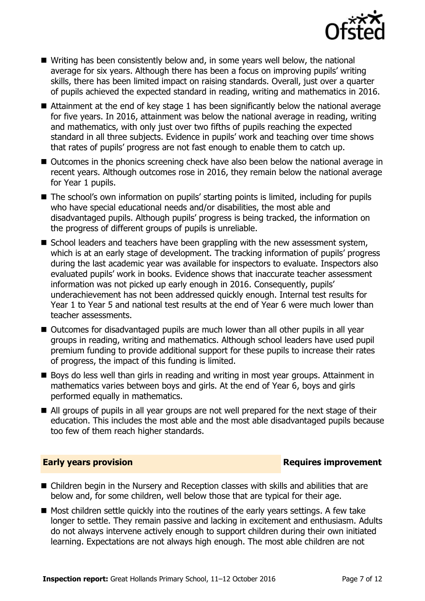

- Writing has been consistently below and, in some years well below, the national average for six years. Although there has been a focus on improving pupils' writing skills, there has been limited impact on raising standards. Overall, just over a quarter of pupils achieved the expected standard in reading, writing and mathematics in 2016.
- Attainment at the end of key stage 1 has been significantly below the national average for five years. In 2016, attainment was below the national average in reading, writing and mathematics, with only just over two fifths of pupils reaching the expected standard in all three subjects. Evidence in pupils' work and teaching over time shows that rates of pupils' progress are not fast enough to enable them to catch up.
- Outcomes in the phonics screening check have also been below the national average in recent years. Although outcomes rose in 2016, they remain below the national average for Year 1 pupils.
- The school's own information on pupils' starting points is limited, including for pupils who have special educational needs and/or disabilities, the most able and disadvantaged pupils. Although pupils' progress is being tracked, the information on the progress of different groups of pupils is unreliable.
- $\blacksquare$  School leaders and teachers have been grappling with the new assessment system, which is at an early stage of development. The tracking information of pupils' progress during the last academic year was available for inspectors to evaluate. Inspectors also evaluated pupils' work in books. Evidence shows that inaccurate teacher assessment information was not picked up early enough in 2016. Consequently, pupils' underachievement has not been addressed quickly enough. Internal test results for Year 1 to Year 5 and national test results at the end of Year 6 were much lower than teacher assessments.
- Outcomes for disadvantaged pupils are much lower than all other pupils in all year groups in reading, writing and mathematics. Although school leaders have used pupil premium funding to provide additional support for these pupils to increase their rates of progress, the impact of this funding is limited.
- Boys do less well than girls in reading and writing in most year groups. Attainment in mathematics varies between boys and girls. At the end of Year 6, boys and girls performed equally in mathematics.
- All groups of pupils in all year groups are not well prepared for the next stage of their education. This includes the most able and the most able disadvantaged pupils because too few of them reach higher standards.

#### **Early years provision Requires improvement**

- Children begin in the Nursery and Reception classes with skills and abilities that are below and, for some children, well below those that are typical for their age.
- $\blacksquare$  Most children settle quickly into the routines of the early years settings. A few take longer to settle. They remain passive and lacking in excitement and enthusiasm. Adults do not always intervene actively enough to support children during their own initiated learning. Expectations are not always high enough. The most able children are not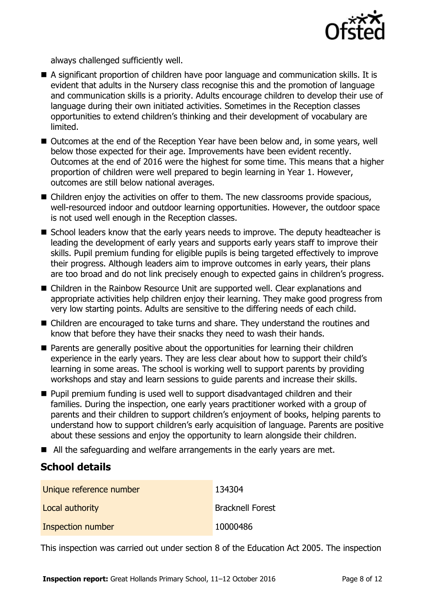

always challenged sufficiently well.

- A significant proportion of children have poor language and communication skills. It is evident that adults in the Nursery class recognise this and the promotion of language and communication skills is a priority. Adults encourage children to develop their use of language during their own initiated activities. Sometimes in the Reception classes opportunities to extend children's thinking and their development of vocabulary are limited.
- Outcomes at the end of the Reception Year have been below and, in some years, well below those expected for their age. Improvements have been evident recently. Outcomes at the end of 2016 were the highest for some time. This means that a higher proportion of children were well prepared to begin learning in Year 1. However, outcomes are still below national averages.
- Children enjoy the activities on offer to them. The new classrooms provide spacious, well-resourced indoor and outdoor learning opportunities. However, the outdoor space is not used well enough in the Reception classes.
- School leaders know that the early years needs to improve. The deputy headteacher is leading the development of early years and supports early years staff to improve their skills. Pupil premium funding for eligible pupils is being targeted effectively to improve their progress. Although leaders aim to improve outcomes in early years, their plans are too broad and do not link precisely enough to expected gains in children's progress.
- Children in the Rainbow Resource Unit are supported well. Clear explanations and appropriate activities help children enjoy their learning. They make good progress from very low starting points. Adults are sensitive to the differing needs of each child.
- Children are encouraged to take turns and share. They understand the routines and know that before they have their snacks they need to wash their hands.
- Parents are generally positive about the opportunities for learning their children experience in the early years. They are less clear about how to support their child's learning in some areas. The school is working well to support parents by providing workshops and stay and learn sessions to quide parents and increase their skills.
- **Pupil premium funding is used well to support disadvantaged children and their** families. During the inspection, one early years practitioner worked with a group of parents and their children to support children's enjoyment of books, helping parents to understand how to support children's early acquisition of language. Parents are positive about these sessions and enjoy the opportunity to learn alongside their children.
- All the safeguarding and welfare arrangements in the early years are met.

# **School details**

| Unique reference number | 134304                  |
|-------------------------|-------------------------|
| Local authority         | <b>Bracknell Forest</b> |
| Inspection number       | 10000486                |

This inspection was carried out under section 8 of the Education Act 2005. The inspection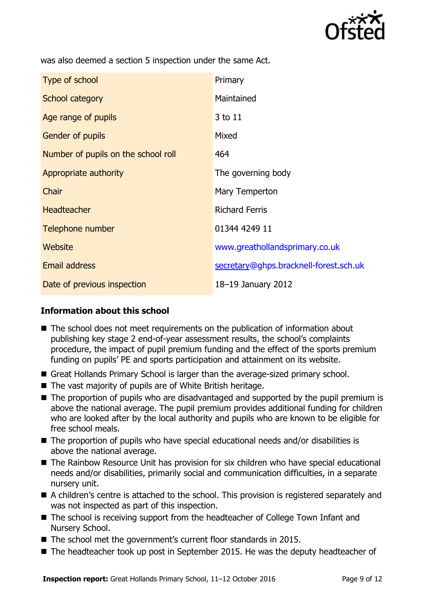

was also deemed a section 5 inspection under the same Act.

| Type of school                      | Primary                                |
|-------------------------------------|----------------------------------------|
| School category                     | Maintained                             |
| Age range of pupils                 | 3 to 11                                |
| Gender of pupils                    | Mixed                                  |
| Number of pupils on the school roll | 464                                    |
| Appropriate authority               | The governing body                     |
| Chair                               | Mary Temperton                         |
| <b>Headteacher</b>                  | <b>Richard Ferris</b>                  |
| Telephone number                    | 01344 4249 11                          |
| Website                             | www.greathollandsprimary.co.uk         |
| <b>Email address</b>                | secretary@ghps.bracknell-forest.sch.uk |
| Date of previous inspection         | 18-19 January 2012                     |

## **Information about this school**

- The school does not meet requirements on the publication of information about publishing key stage 2 end-of-year assessment results, the school's complaints procedure, the impact of pupil premium funding and the effect of the sports premium funding on pupils' PE and sports participation and attainment on its website.
- Great Hollands Primary School is larger than the average-sized primary school.
- The vast majority of pupils are of White British heritage.
- The proportion of pupils who are disadvantaged and supported by the pupil premium is above the national average. The pupil premium provides additional funding for children who are looked after by the local authority and pupils who are known to be eligible for free school meals.
- The proportion of pupils who have special educational needs and/or disabilities is above the national average.
- The Rainbow Resource Unit has provision for six children who have special educational needs and/or disabilities, primarily social and communication difficulties, in a separate nursery unit.
- A children's centre is attached to the school. This provision is registered separately and was not inspected as part of this inspection.
- The school is receiving support from the headteacher of College Town Infant and Nursery School.
- The school met the government's current floor standards in 2015.
- The headteacher took up post in September 2015. He was the deputy headteacher of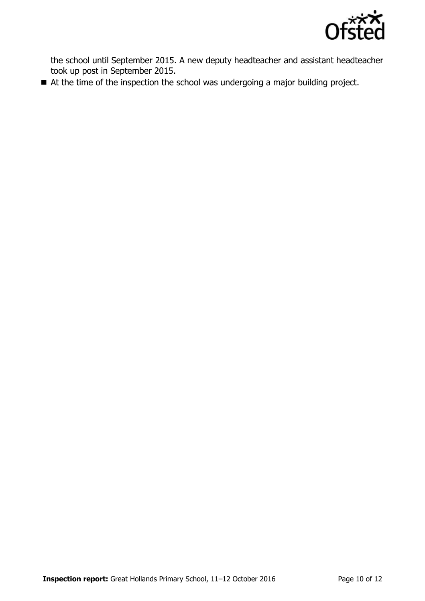

the school until September 2015. A new deputy headteacher and assistant headteacher took up post in September 2015.

■ At the time of the inspection the school was undergoing a major building project.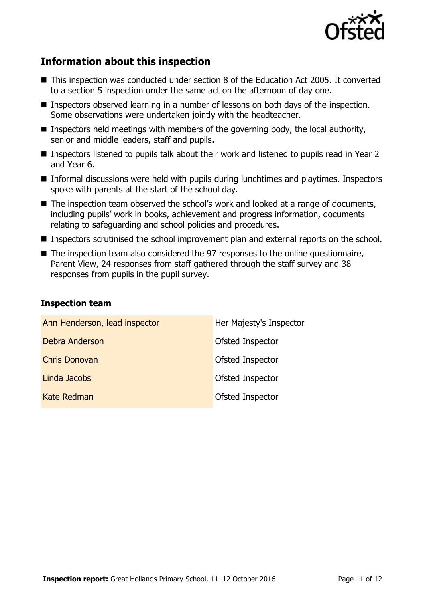

# **Information about this inspection**

- This inspection was conducted under section 8 of the Education Act 2005. It converted to a section 5 inspection under the same act on the afternoon of day one.
- **Inspectors observed learning in a number of lessons on both days of the inspection.** Some observations were undertaken jointly with the headteacher.
- **Inspectors held meetings with members of the governing body, the local authority,** senior and middle leaders, staff and pupils.
- Inspectors listened to pupils talk about their work and listened to pupils read in Year 2 and Year 6.
- Informal discussions were held with pupils during lunchtimes and playtimes. Inspectors spoke with parents at the start of the school day.
- The inspection team observed the school's work and looked at a range of documents, including pupils' work in books, achievement and progress information, documents relating to safeguarding and school policies and procedures.
- **Inspectors scrutinised the school improvement plan and external reports on the school.**
- The inspection team also considered the 97 responses to the online questionnaire, Parent View, 24 responses from staff gathered through the staff survey and 38 responses from pupils in the pupil survey.

### **Inspection team**

| Ann Henderson, lead inspector | Her Majesty's Inspector |
|-------------------------------|-------------------------|
| Debra Anderson                | Ofsted Inspector        |
| <b>Chris Donovan</b>          | Ofsted Inspector        |
| Linda Jacobs                  | Ofsted Inspector        |
| Kate Redman                   | Ofsted Inspector        |